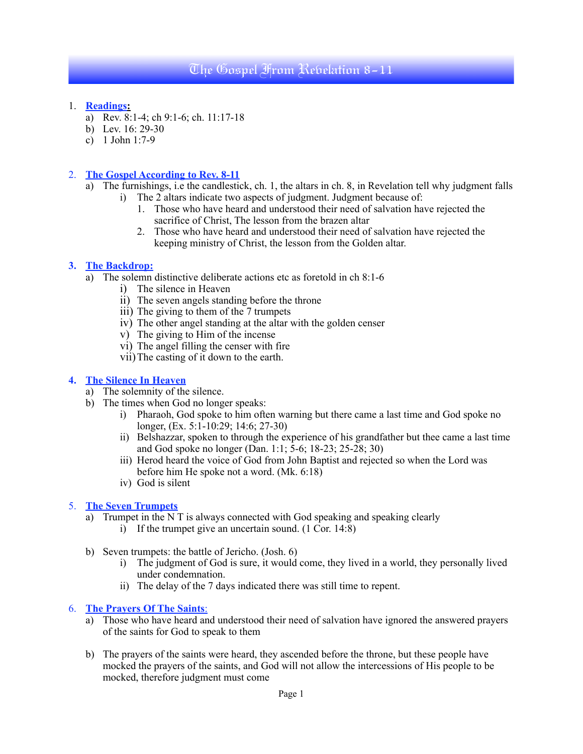# The Gospel From Revelation 8-11

- 1. **Readings:**
	- a) Rev. 8:1-4; ch 9:1-6; ch. 11:17-18
	- b) Lev. 16: 29-30
	- c) 1 John 1:7-9

## 2. **The Gospel According to Rev. 8-11**

- a) The furnishings, i.e the candlestick, ch. 1, the altars in ch. 8, in Revelation tell why judgment falls i) The 2 altars indicate two aspects of judgment. Judgment because of:
	- 1. Those who have heard and understood their need of salvation have rejected the sacrifice of Christ, The lesson from the brazen altar
	- 2. Those who have heard and understood their need of salvation have rejected the keeping ministry of Christ, the lesson from the Golden altar.

#### **3. The Backdrop:**

- a) The solemn distinctive deliberate actions etc as foretold in ch 8:1-6
	- i) The silence in Heaven
	- ii) The seven angels standing before the throne
	- iii) The giving to them of the 7 trumpets
	- iv) The other angel standing at the altar with the golden censer
	- v) The giving to Him of the incense
	- vi) The angel filling the censer with fire
	- vii)The casting of it down to the earth.

### **4. The Silence In Heaven**

- a) The solemnity of the silence.
- b) The times when God no longer speaks:
	- i) Pharaoh, God spoke to him often warning but there came a last time and God spoke no longer, (Ex. 5:1-10:29; 14:6; 27-30)
	- ii) Belshazzar, spoken to through the experience of his grandfather but thee came a last time and God spoke no longer (Dan. 1:1; 5-6; 18-23; 25-28; 30)
	- iii) Herod heard the voice of God from John Baptist and rejected so when the Lord was before him He spoke not a word. (Mk. 6:18)
	- iv) God is silent

## 5. **The Seven Trumpets**

- a) Trumpet in the N T is always connected with God speaking and speaking clearly
	- i) If the trumpet give an uncertain sound. (1 Cor. 14:8)
- b) Seven trumpets: the battle of Jericho. (Josh. 6)
	- i) The judgment of God is sure, it would come, they lived in a world, they personally lived under condemnation.
	- ii) The delay of the 7 days indicated there was still time to repent.

#### 6. **The Prayers Of The Saints**:

- a) Those who have heard and understood their need of salvation have ignored the answered prayers of the saints for God to speak to them
- b) The prayers of the saints were heard, they ascended before the throne, but these people have mocked the prayers of the saints, and God will not allow the intercessions of His people to be mocked, therefore judgment must come